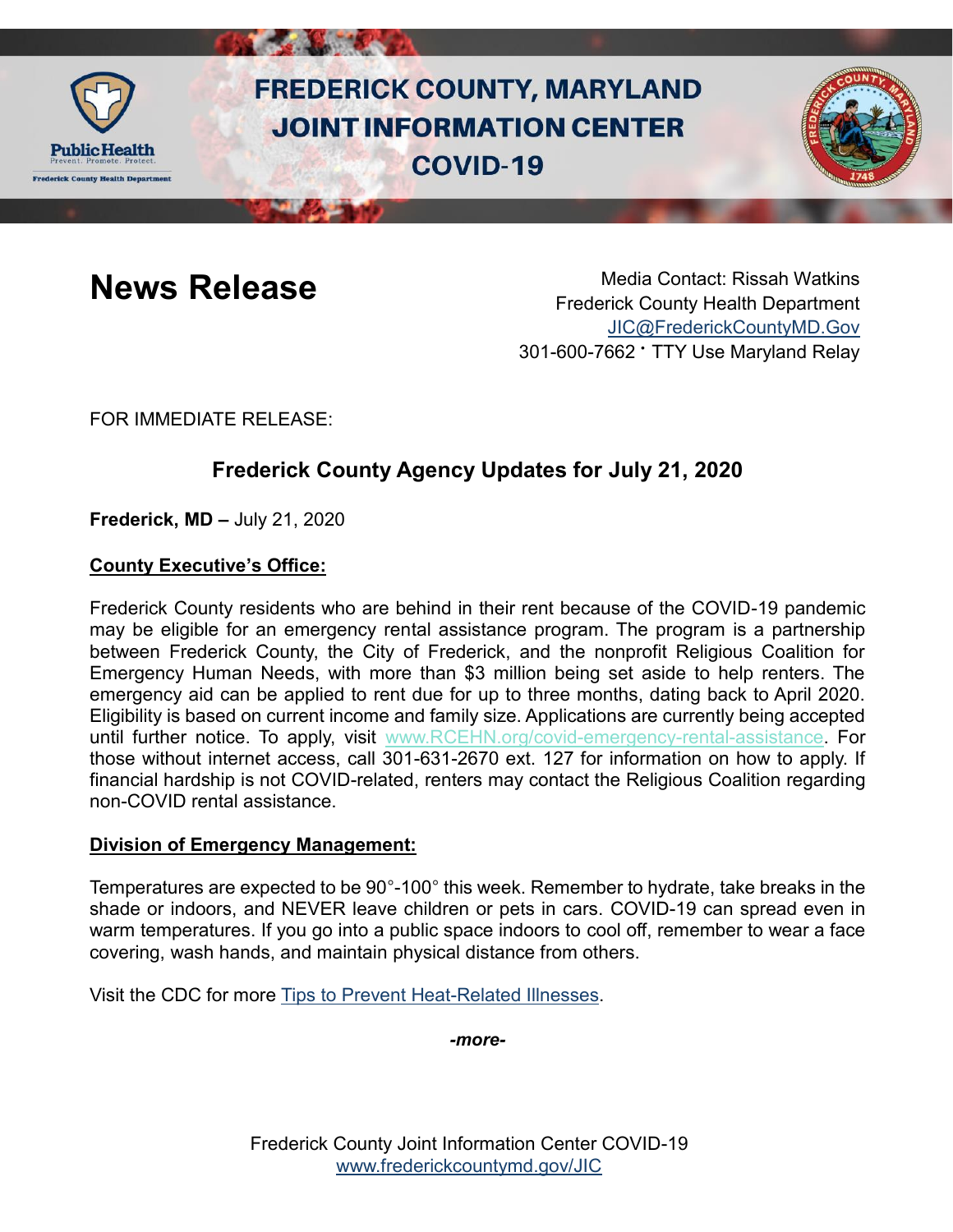

# **FREDERICK COUNTY, MARYLAND JOINT INFORMATION CENTER COVID-19**



**News Release** Media Contact: Rissah Watkins Frederick County Health Department [JIC@FrederickCountyMD.Gov](mailto:JIC@FrederickCountyMD.Gov) 301-600-7662 • TTY Use Maryland Relay

FOR IMMEDIATE RELEASE:

# **Frederick County Agency Updates for July 21, 2020**

**Frederick, MD –** July 21, 2020

# **County Executive's Office:**

Frederick County residents who are behind in their rent because of the COVID-19 pandemic may be eligible for an emergency rental assistance program. The program is a partnership between Frederick County, the City of Frederick, and the nonprofit Religious Coalition for Emergency Human Needs, with more than \$3 million being set aside to help renters. The emergency aid can be applied to rent due for up to three months, dating back to April 2020. Eligibility is based on current income and family size. Applications are currently being accepted until further notice. To apply, visit [www.RCEHN.org/covid-emergency-rental-assistance.](http://www.rcehn.org/covid-emergency-rental-assistance) For those without internet access, call 301-631-2670 ext. 127 for information on how to apply. If financial hardship is not COVID-related, renters may contact the Religious Coalition regarding non-COVID rental assistance.

# **Division of Emergency Management:**

Temperatures are expected to be 90°-100° this week. Remember to hydrate, take breaks in the shade or indoors, and NEVER leave children or pets in cars. COVID-19 can spread even in warm temperatures. If you go into a public space indoors to cool off, remember to wear a face covering, wash hands, and maintain physical distance from others.

Visit the CDC for more [Tips to Prevent Heat-Related Illnesses.](https://www.cdc.gov/disasters/extremeheat/heattips.html?fbclid=IwAR3LIP69S_iEGQ6KXMAFJ5w59DZ_D34O7KjKDr_vMpcAChBEzfC93lom-28)

*-more-*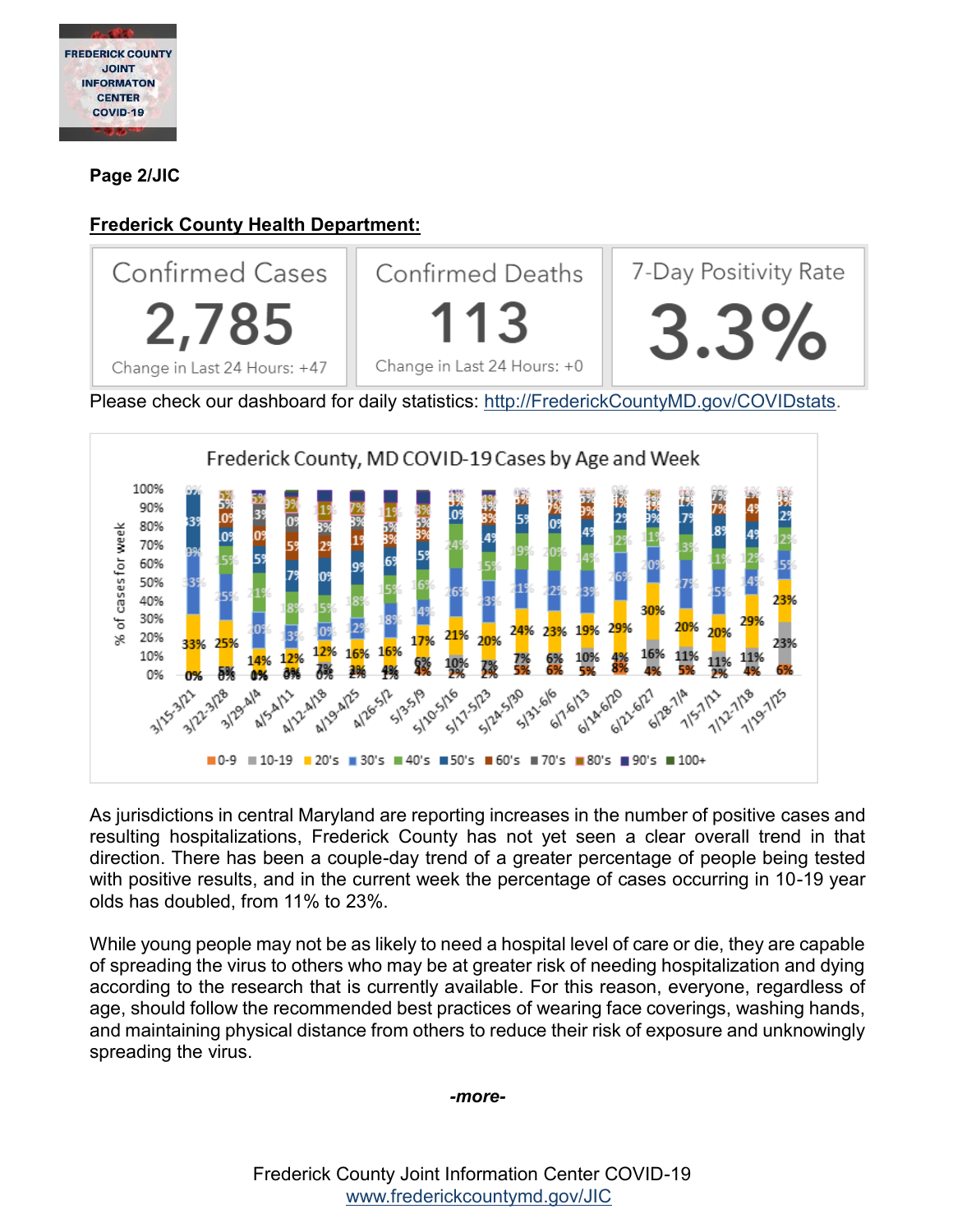

**Page 2/JIC**

# **Frederick County Health Department:**



As jurisdictions in central Maryland are reporting increases in the number of positive cases and resulting hospitalizations, Frederick County has not yet seen a clear overall trend in that direction. There has been a couple-day trend of a greater percentage of people being tested with positive results, and in the current week the percentage of cases occurring in 10-19 year olds has doubled, from 11% to 23%.

While young people may not be as likely to need a hospital level of care or die, they are capable of spreading the virus to others who may be at greater risk of needing hospitalization and dying according to the research that is currently available. For this reason, everyone, regardless of age, should follow the recommended best practices of wearing face coverings, washing hands, and maintaining physical distance from others to reduce their risk of exposure and unknowingly spreading the virus.

#### *-more-*